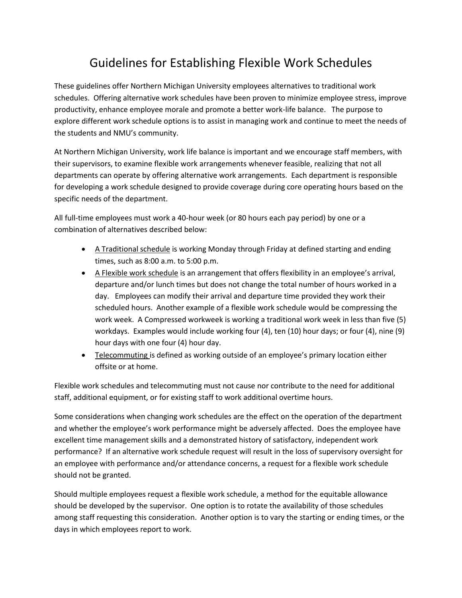# Guidelines for Establishing Flexible Work Schedules

These guidelines offer Northern Michigan University employees alternatives to traditional work schedules. Offering alternative work schedules have been proven to minimize employee stress, improve productivity, enhance employee morale and promote a better work-life balance. The purpose to explore different work schedule options is to assist in managing work and continue to meet the needs of the students and NMU's community.

At Northern Michigan University, work life balance is important and we encourage staff members, with their supervisors, to examine flexible work arrangements whenever feasible, realizing that not all departments can operate by offering alternative work arrangements. Each department is responsible for developing a work schedule designed to provide coverage during core operating hours based on the specific needs of the department.

All full-time employees must work a 40-hour week (or 80 hours each pay period) by one or a combination of alternatives described below:

- **A Traditional schedule is working Monday through Friday at defined starting and ending** times, such as 8:00 a.m. to 5:00 p.m.
- A Flexible work schedule is an arrangement that offers flexibility in an employee's arrival, departure and/or lunch times but does not change the total number of hours worked in a day. Employees can modify their arrival and departure time provided they work their scheduled hours. Another example of a flexible work schedule would be compressing the work week. A Compressed workweek is working a traditional work week in less than five (5) workdays. Examples would include working four (4), ten (10) hour days; or four (4), nine (9) hour days with one four (4) hour day.
- Telecommuting is defined as working outside of an employee's primary location either offsite or at home.

Flexible work schedules and telecommuting must not cause nor contribute to the need for additional staff, additional equipment, or for existing staff to work additional overtime hours.

Some considerations when changing work schedules are the effect on the operation of the department and whether the employee's work performance might be adversely affected. Does the employee have excellent time management skills and a demonstrated history of satisfactory, independent work performance? If an alternative work schedule request will result in the loss of supervisory oversight for an employee with performance and/or attendance concerns, a request for a flexible work schedule should not be granted.

Should multiple employees request a flexible work schedule, a method for the equitable allowance should be developed by the supervisor. One option is to rotate the availability of those schedules among staff requesting this consideration. Another option is to vary the starting or ending times, or the days in which employees report to work.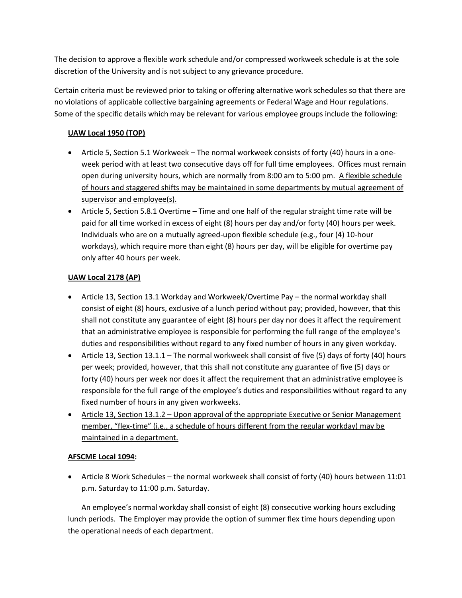The decision to approve a flexible work schedule and/or compressed workweek schedule is at the sole discretion of the University and is not subject to any grievance procedure.

Certain criteria must be reviewed prior to taking or offering alternative work schedules so that there are no violations of applicable collective bargaining agreements or Federal Wage and Hour regulations. Some of the specific details which may be relevant for various employee groups include the following:

## **UAW Local 1950 (TOP)**

- Article 5, Section 5.1 Workweek The normal workweek consists of forty (40) hours in a oneweek period with at least two consecutive days off for full time employees. Offices must remain open during university hours, which are normally from 8:00 am to 5:00 pm. A flexible schedule of hours and staggered shifts may be maintained in some departments by mutual agreement of supervisor and employee(s).
- Article 5, Section 5.8.1 Overtime Time and one half of the regular straight time rate will be paid for all time worked in excess of eight (8) hours per day and/or forty (40) hours per week. Individuals who are on a mutually agreed-upon flexible schedule (e.g., four (4) 10-hour workdays), which require more than eight (8) hours per day, will be eligible for overtime pay only after 40 hours per week.

## **UAW Local 2178 (AP)**

- Article 13, Section 13.1 Workday and Workweek/Overtime Pay the normal workday shall consist of eight (8) hours, exclusive of a lunch period without pay; provided, however, that this shall not constitute any guarantee of eight (8) hours per day nor does it affect the requirement that an administrative employee is responsible for performing the full range of the employee's duties and responsibilities without regard to any fixed number of hours in any given workday.
- Article 13, Section 13.1.1 The normal workweek shall consist of five (5) days of forty (40) hours per week; provided, however, that this shall not constitute any guarantee of five (5) days or forty (40) hours per week nor does it affect the requirement that an administrative employee is responsible for the full range of the employee's duties and responsibilities without regard to any fixed number of hours in any given workweeks.
- Article 13, Section 13.1.2 Upon approval of the appropriate Executive or Senior Management member, "flex-time" (i.e., a schedule of hours different from the regular workday) may be maintained in a department.

### **AFSCME Local 1094:**

 Article 8 Work Schedules – the normal workweek shall consist of forty (40) hours between 11:01 p.m. Saturday to 11:00 p.m. Saturday.

An employee's normal workday shall consist of eight (8) consecutive working hours excluding lunch periods. The Employer may provide the option of summer flex time hours depending upon the operational needs of each department.